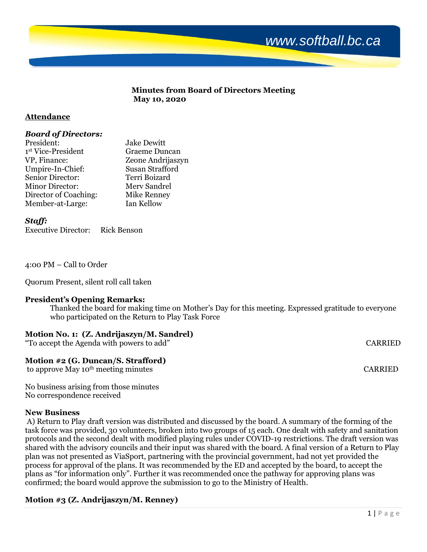

#### **Minutes from Board of Directors Meeting May 10, 2020**

# **Attendance**

# *Board of Directors:*

| President:                     | <b>Jake Dewitt</b>     |
|--------------------------------|------------------------|
| 1 <sup>st</sup> Vice-President | Graeme Duncan          |
| VP, Finance:                   | Zeone Andrijaszyn      |
| Umpire-In-Chief:               | <b>Susan Strafford</b> |
| Senior Director:               | Terri Boizard          |
| <b>Minor Director:</b>         | Merv Sandrel           |
| Director of Coaching:          | Mike Renney            |
| Member-at-Large:               | Ian Kellow             |

*Staff:*

Executive Director: Rick Benson

4:00 PM – Call to Order

Quorum Present, silent roll call taken

### **President's Opening Remarks:**

Thanked the board for making time on Mother's Day for this meeting. Expressed gratitude to everyone who participated on the Return to Play Task Force

### **Motion No. 1: (Z. Andrijaszyn/M. Sandrel)**

"To accept the Agenda with powers to add" CARRIED

# **Motion #2 (G. Duncan/S. Strafford)**

to approve May 10<sup>th</sup> meeting minutes CARRIED

No business arising from those minutes No correspondence received

### **New Business**

A) Return to Play draft version was distributed and discussed by the board. A summary of the forming of the task force was provided, 30 volunteers, broken into two groups of 15 each. One dealt with safety and sanitation protocols and the second dealt with modified playing rules under COVID-19 restrictions. The draft version was shared with the advisory councils and their input was shared with the board. A final version of a Return to Play plan was not presented as ViaSport, partnering with the provincial government, had not yet provided the process for approval of the plans. It was recommended by the ED and accepted by the board, to accept the plans as "for information only". Further it was recommended once the pathway for approving plans was confirmed; the board would approve the submission to go to the Ministry of Health.

# **Motion #3 (Z. Andrijaszyn/M. Renney)**